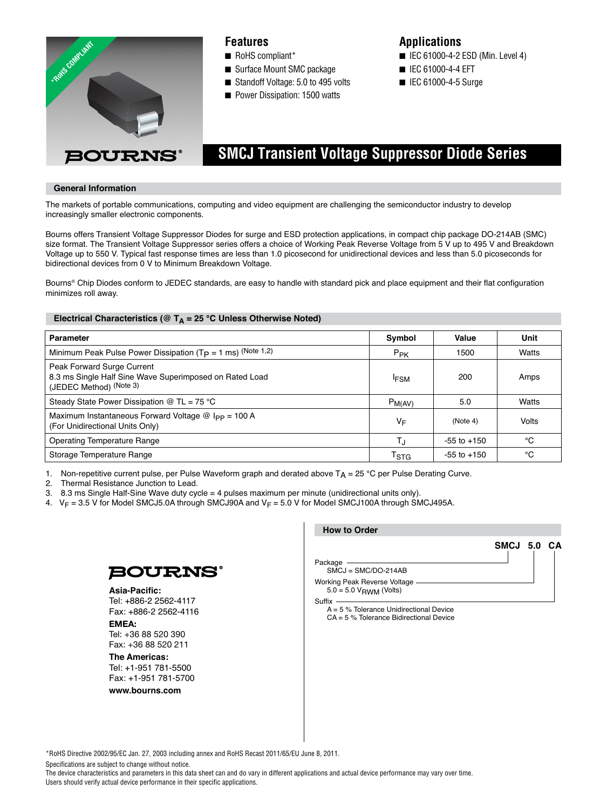

## **Features**

- RoHS compliant\*
- Surface Mount SMC package
- Standoff Voltage: 5.0 to 495 volts
- Power Dissipation: 1500 watts

## **Applications**

- IEC 61000-4-2 ESD (Min. Level 4)
- IEC 61000-4-4 EFT
- IEC 61000-4-5 Surge

# **SMCJ Transient Voltage Suppressor Diode Series**

### **General Information**

The markets of portable communications, computing and video equipment are challenging the semiconductor industry to develop increasingly smaller electronic components.

Bourns offers Transient Voltage Suppressor Diodes for surge and ESD protection applications, in compact chip package DO-214AB (SMC) size format. The Transient Voltage Suppressor series offers a choice of Working Peak Reverse Voltage from 5 V up to 495 V and Breakdown Voltage up to 550 V. Typical fast response times are less than 1.0 picosecond for unidirectional devices and less than 5.0 picoseconds for bidirectional devices from 0 V to Minimum Breakdown Voltage.

Bourns® Chip Diodes conform to JEDEC standards, are easy to handle with standard pick and place equipment and their flat configuration minimizes roll away.

## Electrical Characteristics (@ T<sub>A</sub> = 25 °C Unless Otherwise Noted)

| <b>Parameter</b>                                                                                                 | Symbol              | Value           | Unit  |
|------------------------------------------------------------------------------------------------------------------|---------------------|-----------------|-------|
| Minimum Peak Pulse Power Dissipation ( $Tp = 1$ ms) (Note 1,2)                                                   | $P_{PK}$            | 1500            | Watts |
| Peak Forward Surge Current<br>8.3 ms Single Half Sine Wave Superimposed on Rated Load<br>(JEDEC Method) (Note 3) | <b>IFSM</b>         | 200             | Amps  |
| Steady State Power Dissipation $@$ TL = 75 °C                                                                    | $P_{M(AV)}$         | 5.0             | Watts |
| Maximum Instantaneous Forward Voltage $@$ I <sub>PP</sub> = 100 A<br>(For Unidirectional Units Only)             | ٧F                  | (Note 4)        | Volts |
| <b>Operating Temperature Range</b>                                                                               | T.ı                 | $-55$ to $+150$ | °C    |
| Storage Temperature Range                                                                                        | $\tau_{\text{STG}}$ | $-55$ to $+150$ | °C    |

1. Non-repetitive current pulse, per Pulse Waveform graph and derated above  $T_A = 25 °C$  per Pulse Derating Curve.

2. Thermal Resistance Junction to Lead.

3. 8.3 ms Single Half-Sine Wave duty cycle = 4 pulses maximum per minute (unidirectional units only).

4.  $V_F = 3.5$  V for Model SMCJ5.0A through SMCJ90A and  $V_F = 5.0$  V for Model SMCJ100A through SMCJ495A.



Asia-Pacific: Tel: +886-2 2562-4117 Fax: +886-2 2562-4116

**EMEA:**  Tel: +36 88 520 390 Fax: +36 88 520 211

**The Americas:**  Tel: +1-951 781-5500 Fax: +1-951 781-5700

**www.bourns.com**

| <b>How to Order</b>                                                |             |
|--------------------------------------------------------------------|-------------|
|                                                                    | SMCJ 5.0 CA |
| Package<br>$SMCJ = SMC/DO-214AB$                                   |             |
| <b>Working Peak Reverse Voltage</b><br>$5.0 = 5.0 V_{BWM}$ (Volts) |             |
|                                                                    |             |

 A = 5 % Tolerance Unidirectional Device CA = 5 % Tolerance Bidirectional Device

\*RoHS Directive 2002/95/EC Jan. 27, 2003 including annex and RoHS Recast 2011/65/EU June 8, 2011.

Specifications are subject to change without notice.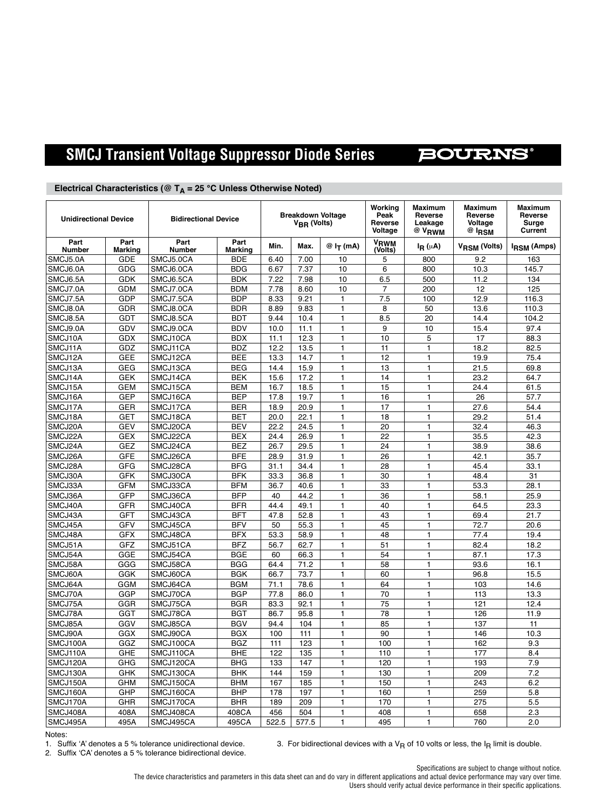#### **SMCJ Transient Voltage Suppressor Diode Series BOURNS®**

| <b>Unidirectional Device</b> |                        |                        | <b>Breakdown Voltage</b><br><b>Bidirectional Device</b><br>V <sub>BR</sub> (Volts) |              | Working<br>Peak<br>Reverse<br>Voltage | <b>Maximum</b><br>Reverse<br>Leakage<br>@ V <sub>RWM</sub> | <b>Maximum</b><br>Reverse<br>Voltage<br>$@$ $l$ RSM | <b>Maximum</b><br>Reverse<br>Surge<br>Current |                          |                    |
|------------------------------|------------------------|------------------------|------------------------------------------------------------------------------------|--------------|---------------------------------------|------------------------------------------------------------|-----------------------------------------------------|-----------------------------------------------|--------------------------|--------------------|
| Part<br><b>Number</b>        | Part<br><b>Marking</b> | Part<br>Number         | Part<br><b>Marking</b>                                                             | Min.         | Max.                                  | @I <sub>T</sub> (mA)                                       | VRWM<br>(Volts)                                     | $I_R(\mu A)$                                  | V <sub>RSM</sub> (Volts) | <b>IRSM (Amps)</b> |
| SMCJ5.0A                     | GDE                    | SMCJ5.0CA              | <b>BDE</b>                                                                         | 6.40         | 7.00                                  | 10                                                         | 5                                                   | 800                                           | 9.2                      | 163                |
| SMCJ6.0A                     | GDG                    | SMCJ6.0CA              | <b>BDG</b>                                                                         | 6.67         | 7.37                                  | 10                                                         | 6                                                   | 800                                           | 10.3                     | 145.7              |
| SMCJ6.5A                     | GDK                    | SMCJ6.5CA              | <b>BDK</b>                                                                         | 7.22         | 7.98                                  | 10                                                         | 6.5                                                 | 500                                           | 11.2                     | 134                |
| SMCJ7.0A                     | <b>GDM</b>             | SMCJ7.0CA              | <b>BDM</b>                                                                         | 7.78         | 8.60                                  | 10                                                         | 7                                                   | 200                                           | 12                       | 125                |
| SMCJ7.5A                     | GDP                    | SMCJ7.5CA              | <b>BDP</b>                                                                         | 8.33         | 9.21                                  | $\mathbf{1}$                                               | 7.5                                                 | 100                                           | 12.9                     | 116.3              |
| SMCJ8.0A                     | <b>GDR</b>             | SMCJ8.0CA              | <b>BDR</b>                                                                         | 8.89         | 9.83                                  | $\mathbf{1}$                                               | 8                                                   | 50                                            | 13.6                     | 110.3              |
| SMCJ8.5A                     | GDT                    | SMCJ8.5CA              | <b>BDT</b>                                                                         | 9.44         | 10.4                                  | $\mathbf{1}$                                               | 8.5                                                 | 20                                            | 14.4                     | 104.2              |
| SMCJ9.0A                     | GDV                    | SMCJ9.0CA              | <b>BDV</b>                                                                         | 10.0         | 11.1                                  | $\mathbf{1}$                                               | 9                                                   | 10                                            | 15.4                     | 97.4               |
| SMCJ10A                      | GDX                    | SMCJ10CA               | <b>BDX</b>                                                                         | 11.1         | 12.3                                  | 1                                                          | 10                                                  | 5                                             | 17                       | 88.3               |
| SMCJ11A                      | GDZ                    | SMCJ11CA               | <b>BDZ</b>                                                                         | 12.2         | 13.5                                  | $\mathbf{1}$                                               | 11                                                  | $\mathbf{1}$                                  | 18.2                     | 82.5               |
| SMCJ12A                      | <b>GEE</b>             | SMCJ12CA               | <b>BEE</b>                                                                         | 13.3         | 14.7                                  | $\mathbf{1}$                                               | 12                                                  | 1                                             | 19.9                     | 75.4               |
| SMCJ13A                      | <b>GEG</b>             | SMCJ13CA               | <b>BEG</b>                                                                         | 14.4         | 15.9                                  | 1                                                          | 13                                                  | $\mathbf{1}$                                  | 21.5                     | 69.8               |
| SMCJ14A                      | <b>GEK</b>             | SMCJ14CA               | <b>BEK</b>                                                                         | 15.6         | 17.2                                  | $\mathbf{1}$                                               | 14                                                  | $\mathbf{1}$                                  | 23.2                     | 64.7               |
| SMCJ15A                      | <b>GEM</b>             | SMCJ15CA               | <b>BEM</b>                                                                         | 16.7         | 18.5                                  | $\mathbf{1}$                                               | 15                                                  | $\mathbf{1}$                                  | 24.4                     | 61.5               |
| SMCJ16A                      | <b>GEP</b>             | SMCJ16CA               | <b>BEP</b>                                                                         | 17.8         | 19.7                                  | $\mathbf{1}$                                               | 16                                                  | 1                                             | 26                       | 57.7               |
| SMCJ17A                      | GER                    | SMCJ17CA               | <b>BER</b>                                                                         | 18.9         | 20.9                                  | $\mathbf{1}$                                               | 17                                                  | $\mathbf{1}$                                  | 27.6                     | 54.4               |
| SMCJ18A                      | <b>GET</b>             | SMCJ18CA               | <b>BET</b>                                                                         | 20.0         | 22.1                                  | 1                                                          | 18                                                  | 1                                             | 29.2                     | 51.4               |
| SMCJ20A                      | <b>GEV</b>             | SMCJ20CA               | <b>BEV</b>                                                                         | 22.2         | 24.5                                  | $\mathbf{1}$                                               | 20                                                  | $\mathbf{1}$                                  | 32.4                     | 46.3               |
| SMCJ22A                      | <b>GEX</b>             | SMCJ22CA               | <b>BEX</b>                                                                         | 24.4         | 26.9                                  | $\mathbf{1}$                                               | 22                                                  | $\mathbf{1}$                                  | 35.5                     | 42.3               |
| SMCJ24A                      | GEZ                    | SMCJ24CA               | <b>BEZ</b>                                                                         | 26.7         | 29.5                                  | 1                                                          | 24                                                  | $\mathbf{1}$                                  | 38.9                     | 38.6               |
| SMCJ26A                      | <b>GFE</b>             | SMCJ26CA               | <b>BFE</b>                                                                         | 28.9         | 31.9                                  | $\mathbf{1}$                                               | 26                                                  | $\mathbf{1}$                                  | 42.1                     | 35.7               |
| SMCJ28A                      | GFG                    | SMCJ28CA               | <b>BFG</b>                                                                         | 31.1         | 34.4                                  | $\mathbf{1}$                                               | 28                                                  | $\mathbf{1}$                                  | 45.4                     | 33.1               |
| SMCJ30A                      | <b>GFK</b>             | SMCJ30CA               | <b>BFK</b>                                                                         | 33.3         | 36.8                                  | 1                                                          | 30                                                  | 1                                             | 48.4                     | 31                 |
| SMCJ33A                      | <b>GFM</b>             | SMCJ33CA               | <b>BFM</b>                                                                         | 36.7         | 40.6                                  | $\mathbf{1}$                                               | 33                                                  | 1                                             | 53.3                     | 28.1               |
| SMCJ36A                      | GFP                    | SMCJ36CA               | <b>BFP</b>                                                                         | 40           | 44.2                                  | 1                                                          | 36                                                  | $\mathbf{1}$                                  | 58.1                     | 25.9               |
| SMCJ40A                      | GFR                    | SMCJ40CA               | <b>BFR</b>                                                                         | 44.4         | 49.1                                  | $\mathbf{1}$                                               | 40                                                  | $\mathbf{1}$                                  | 64.5                     | 23.3               |
| SMCJ43A                      | <b>GFT</b>             | SMCJ43CA               | <b>BFT</b>                                                                         | 47.8         | 52.8                                  | $\mathbf{1}$                                               | 43                                                  | 1                                             | 69.4                     | 21.7               |
| SMCJ45A                      | GFV                    | SMCJ45CA               | <b>BFV</b>                                                                         | 50           | 55.3                                  | 1                                                          | 45                                                  | 1                                             | 72.7                     | 20.6               |
| SMCJ48A                      | <b>GFX</b>             | SMCJ48CA               | <b>BFX</b>                                                                         | 53.3         | 58.9                                  | $\mathbf{1}$                                               | 48                                                  | $\mathbf{1}$                                  | 77.4                     | 19.4               |
| SMCJ51A                      | GFZ                    | SMCJ51CA               | <b>BFZ</b>                                                                         | 56.7         | 62.7                                  | $\mathbf{1}$                                               | 51                                                  | $\mathbf{1}$                                  | 82.4                     | 18.2               |
| SMCJ54A                      | GGE                    | SMCJ54CA               | <b>BGE</b>                                                                         | 60           | 66.3                                  | $\mathbf{1}$                                               | 54                                                  | $\mathbf{1}$                                  | 87.1                     | 17.3               |
| SMCJ58A                      | GGG                    | SMCJ58CA               | <b>BGG</b>                                                                         | 64.4         | 71.2                                  | $\mathbf{1}$                                               | 58                                                  | 1                                             | 93.6                     | 16.1               |
| SMCJ60A                      | GGK                    | SMCJ60CA               | <b>BGK</b>                                                                         | 66.7         | 73.7                                  | 1                                                          | 60                                                  | $\mathbf{1}$<br>$\overline{1}$                | 96.8                     | 15.5               |
| SMCJ64A<br>SMCJ70A           | GGM<br>GGP             | SMCJ64CA               | <b>BGM</b><br><b>BGP</b>                                                           | 71.1<br>77.8 | 78.6<br>86.0                          | $\mathbf{1}$<br>$\mathbf{1}$                               | 64<br>70                                            | $\mathbf{1}$                                  | 103<br>113               | 14.6<br>13.3       |
|                              | GGR                    | SMCJ70CA               | <b>BGR</b>                                                                         | 83.3         | 92.1                                  | $\mathbf{1}$                                               | 75                                                  | $\mathbf{1}$                                  | 121                      | 12.4               |
| SMCJ75A                      | GGT                    | SMCJ75CA               | <b>BGT</b>                                                                         |              | 95.8                                  | $\mathbf{1}$                                               |                                                     | $\mathbf{1}$                                  |                          |                    |
| SMCJ78A<br>SMCJ85A           | GGV                    | SMCJ78CA<br>SMCJ85CA   | <b>BGV</b>                                                                         | 86.7<br>94.4 | 104                                   | $\mathbf{1}$                                               | 78<br>85                                            | $\mathbf{1}$                                  | 126<br>137               | 11.9<br>11         |
| SMCJ90A                      | GGX                    | SMCJ90CA               | <b>BGX</b>                                                                         | 100          | 111                                   | 1                                                          | 90                                                  | $\mathbf{1}$                                  | 146                      | 10.3               |
| SMCJ100A                     | GGZ                    |                        | <b>BGZ</b>                                                                         | 111          | 123                                   | $\mathbf{1}$                                               | 100                                                 | 1                                             | 162                      | 9.3                |
| SMCJ110A                     | GHE                    | SMCJ100CA<br>SMCJ110CA | <b>BHE</b>                                                                         | 122          | 135                                   | 1                                                          | 110                                                 | $\mathbf{1}$                                  | 177                      | 8.4                |
| SMCJ120A                     | GHG                    | SMCJ120CA              | <b>BHG</b>                                                                         | 133          | 147                                   | $\mathbf{1}$                                               | 120                                                 | $\mathbf{1}$                                  | 193                      | 7.9                |
| SMCJ130A                     | GHK                    | SMCJ130CA              | <b>BHK</b>                                                                         | 144          | 159                                   | $\mathbf{1}$                                               | 130                                                 | $\mathbf{1}$                                  | 209                      | 7.2                |
| SMCJ150A                     | <b>GHM</b>             | SMCJ150CA              | <b>BHM</b>                                                                         | 167          | 185                                   | 1                                                          | 150                                                 | $\mathbf{1}$                                  | 243                      | 6.2                |
| SMCJ160A                     | GHP                    | SMCJ160CA              | <b>BHP</b>                                                                         | 178          | 197                                   | $\mathbf{1}$                                               | 160                                                 | 1                                             | 259                      | 5.8                |
| SMCJ170A                     | GHR                    | SMCJ170CA              | <b>BHR</b>                                                                         | 189          | 209                                   | 1                                                          | 170                                                 | $\mathbf{1}$                                  | 275                      | 5.5                |
| SMCJ408A                     | 408A                   | SMCJ408CA              | 408CA                                                                              | 456          | 504                                   | $\mathbf{1}$                                               | 408                                                 | $\mathbf{1}$                                  | 658                      | 2.3                |
| SMCJ495A                     | 495A                   | SMCJ495CA              | 495CA                                                                              | 522.5        | 577.5                                 | 1                                                          | 495                                                 | 1                                             | 760                      | 2.0                |
|                              |                        |                        |                                                                                    |              |                                       |                                                            |                                                     |                                               |                          |                    |

## Electrical Characteristics (@ T<sub>A</sub> = 25 °C Unless Otherwise Noted)

Notes:<br>1. Suffix 'A' denotes a 5 % tolerance unidirectional device.

3. For bidirectional devices with a  $V_R$  of 10 volts or less, the I<sub>R</sub> limit is double.

2. Suffix 'CA' denotes a 5 % tolerance bidirectional device.

Specifications are subject to change without notice.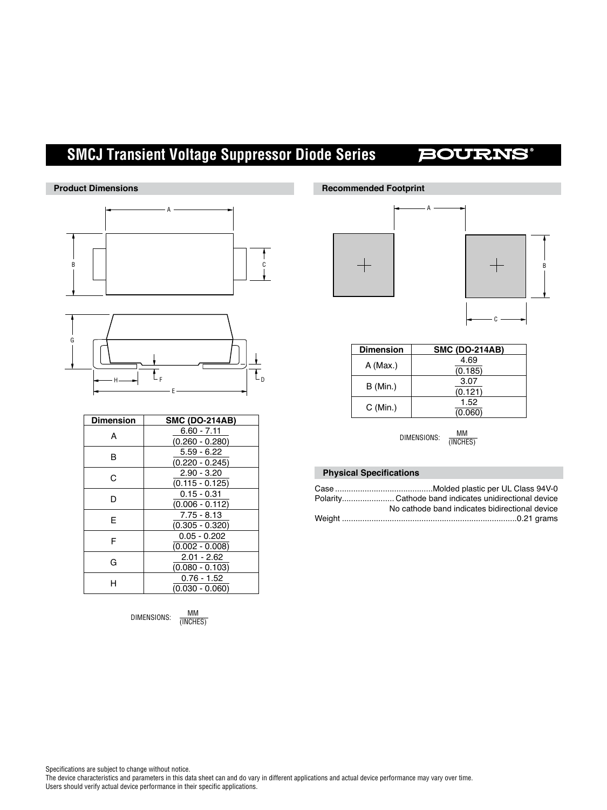# **SMCJ Transient Voltage Suppressor Diode Series**

# **BOURNS®**





| <b>Dimension</b> | <b>SMC (DO-214AB)</b> |
|------------------|-----------------------|
| А                | $6.60 - 7.11$         |
|                  | $(0.260 - 0.280)$     |
| в                | $5.59 - 6.22$         |
|                  | $(0.220 - 0.245)$     |
| C                | $2.90 - 3.20$         |
|                  | $(0.115 - 0.125)$     |
| D                | $0.15 - 0.31$         |
|                  | $(0.006 - 0.112)$     |
| F                | $7.75 - 8.13$         |
|                  | $(0.305 - 0.320)$     |
| F                | $0.05 - 0.202$        |
|                  | $(0.002 - 0.008)$     |
| G                | $2.01 - 2.62$         |
|                  | $(0.080 - 0.103)$     |
| н                | $0.76 - 1.52$         |
|                  | (0.030 - 0.060)       |

DIMENSIONS:  $\frac{MM}{(INCHES)}$ 

## **Recommended Footprint**





| <b>Dimension</b> | <b>SMC (DO-214AB)</b> |
|------------------|-----------------------|
| $A$ (Max.)       | 4.69                  |
|                  | (0.185)               |
| B (Min.)         | 3.07                  |
|                  | (0.121)               |
| C (Min.)         | 1.52                  |
|                  | (0.060)               |

DIMENSIONS: MM (INCHES)

## **Physical Specifications**

| No cathode band indicates bidirectional device |  |
|------------------------------------------------|--|
|                                                |  |

Specifications are subject to change without notice.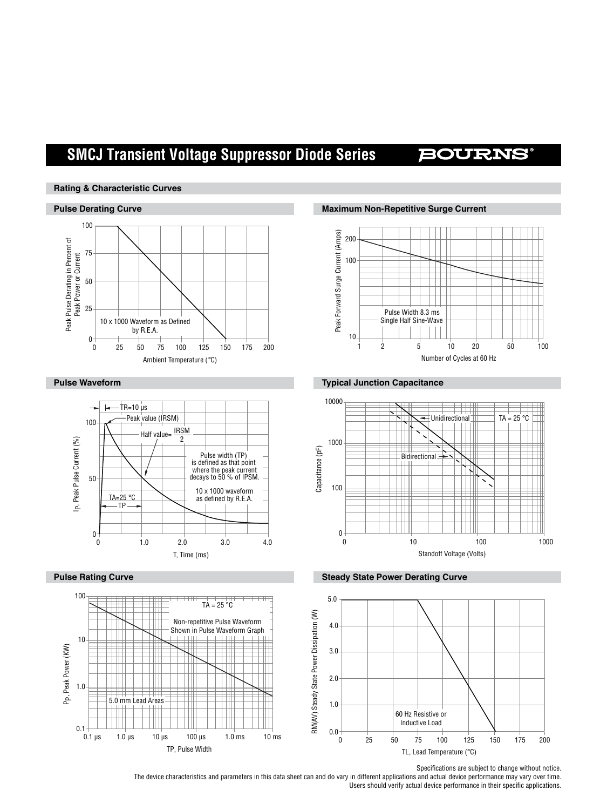# **SMCJ Transient Voltage Suppressor Diode Series**

## **BOURNS**

### **Rating & Characteristic Curves**







**Pulse Derating Curve Maximum Non-Repetitive Surge Current**



## **Pulse Waveform Typical Junction Capacitance**



#### **Pulse Rating Curve Steady State Power Derating Curve Steady State Power Derating Curve**



Specifications are subject to change without notice.